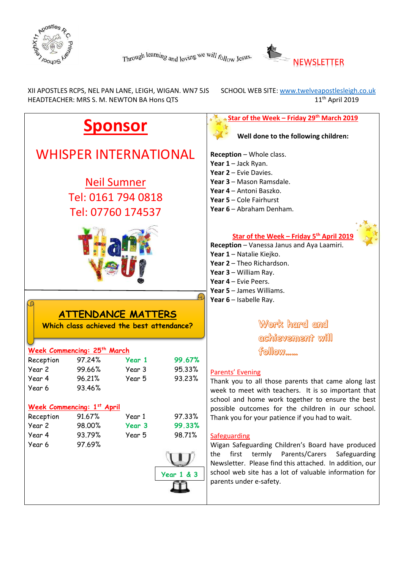



 XII APOSTLES RCPS, NEL PAN LANE, LEIGH, WIGAN. WN7 5JS SCHOOL WEB SITE[: www.twelveapostlesleigh.co.uk](http://www.twelveapostlesleigh.co.uk/)  HEADTEACHER: MRS S. M. NEWTON BA Hons QTS 11<sup>th</sup> April 2019

#### **Star of the Week – Friday 29th March 2019 Sponsor Well done to the following children:** WHISPER INTERNATIONAL **Reception** – Whole class. **Year 1** – Jack Ryan. **Year 2** – Evie Davies. Neil Sumner **Year 3** – Mason Ramsdale. **Year 4** – Antoni Baszko. Tel: 0161 794 0818 **Year 5** – Cole Fairhurst **Year 6** – Abraham Denham. Tel: 07760 174537 **Star of the Week – Friday 5 th April 2019 Reception** – Vanessa Janus and Aya Laamiri. **Year 1** – Natalie Kiejko. **Year 2** – Theo Richardson. **Year 3** – William Ray. **Year 4** – Evie Peers. **Year 5** – James Williams. **Year 6** – Isabelle Ray. **ATTENDANCE MATTERS** Work hard and **Which class achieved the best attendance?** achievement will **Week Commencing: 25th March**  $f$ follow Reception 97.24% **Year 1 99.67%** Year 2 99.66% Year 3 95.33% Parents' Evening Year 4 96.21% Year 5 93.23% Thank you to all those parents that came along last Year 6 93.46% week to meet with teachers. It is so important that school and home work together to ensure the best **Week Commencing: 1 st April** possible outcomes for the children in our school. Reception 91.67% Year 1 97.33% Thank you for your patience if you had to wait. Year 2 98.00% **Year 3 99.33%** Year 4 93.79% Year 5 98.71% Safeguarding Year 6 97.69% Wigan Safeguarding Children's Board have produced the first termly Parents/Carers Safeguarding Newsletter. Please find this attached. In addition, our school web site has a lot of valuable information for **Year 1 & 3**parents under e-safety.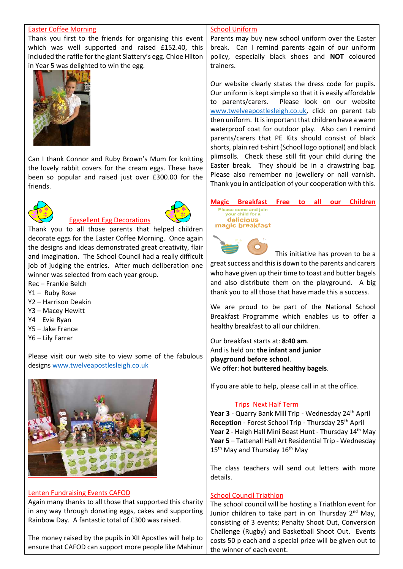#### Easter Coffee Morning

Thank you first to the friends for organising this event which was well supported and raised £152.40, this included the raffle for the giant Slattery's egg. Chloe Hilton in Year 5 was delighted to win the egg.



Can I thank Connor and Ruby Brown's Mum for knitting the lovely rabbit covers for the cream eggs. These have been so popular and raised just over £300.00 for the friends.



## Eggsellent Egg Decorations



Thank you to all those parents that helped children decorate eggs for the Easter Coffee Morning. Once again the designs and ideas demonstrated great creativity, flair and imagination. The School Council had a really difficult job of judging the entries. After much deliberation one winner was selected from each year group.

- Rec Frankie Belch
- Y1 Ruby Rose
- Y2 Harrison Deakin
- Y3 Macey Hewitt
- Y4 Evie Ryan
- Y5 Jake France
- Y6 Lily Farrar

Please visit our web site to view some of the fabulous design[s www.twelveapostlesleigh.co.uk](file://///DC01/Work$/Staff/s.newton/Newsletter/Newsletter%202018-19/www.twelveapostlesleigh.co.uk%20)



#### Lenten Fundraising Events CAFOD

Again many thanks to all those that supported this charity in any way through donating eggs, cakes and supporting Rainbow Day. A fantastic total of £300 was raised.

The money raised by the pupils in XII Apostles will help to ensure that CAFOD can support more people like Mahinur

#### School Uniform

Parents may buy new school uniform over the Easter break. Can I remind parents again of our uniform policy, especially black shoes and **NOT** coloured trainers.

Our website clearly states the dress code for pupils. Our uniform is kept simple so that it is easily affordable to parents/carers. Please look on our website [www.twelveapostlesleigh.co.uk,](http://www.twelveapostlesleigh.co.uk/) click on parent tab then uniform. It is important that children have a warm waterproof coat for outdoor play. Also can I remind parents/carers that PE Kits should consist of black shorts, plain red t-shirt (School logo optional) and black plimsolls. Check these still fit your child during the Easter break. They should be in a drawstring bag. Please also remember no jewellery or nail varnish. Thank you in anticipation of your cooperation with this.

### **Magic Breakfast Free to all our Children**

#### Please come and join<br>your child for a delicious magic breakfast

This initiative has proven to be a

great success and this is down to the parents and carers who have given up their time to toast and butter bagels and also distribute them on the playground. A big thank you to all those that have made this a success.

We are proud to be part of the National School Breakfast Programme which enables us to offer a healthy breakfast to all our children.

Our breakfast starts at: **8:40 am**. And is held on: **the infant and junior playground before school**. We offer: **hot buttered healthy bagels**.

If you are able to help, please call in at the office.

#### Trips Next Half Term

Year 3 - Quarry Bank Mill Trip - Wednesday 24<sup>th</sup> April **Reception** - Forest School Trip - Thursday 25<sup>th</sup> April Year 2 - Haigh Hall Mini Beast Hunt - Thursday 14<sup>th</sup> May **Year 5** – Tattenall Hall Art Residential Trip - Wednesday  $15<sup>th</sup>$  May and Thursday  $16<sup>th</sup>$  May

The class teachers will send out letters with more details.

#### School Council Triathlon

The school council will be hosting a Triathlon event for Junior children to take part in on Thursday 2<sup>nd</sup> May, consisting of 3 events; Penalty Shoot Out, Conversion Challenge (Rugby) and Basketball Shoot Out. Events costs 50 p each and a special prize will be given out to the winner of each event.